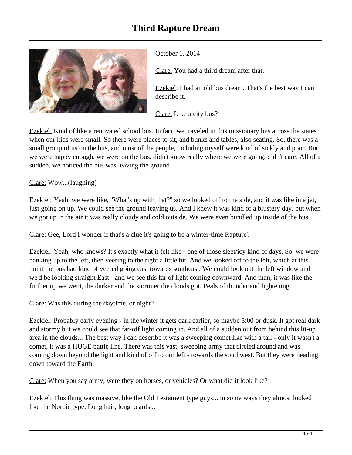

October 1, 2014

Clare: You had a third dream after that.

Ezekiel: I had an old bus dream. That's the best way I can describe it.

Clare: Like a city bus?

Ezekiel: Kind of like a renovated school bus. In fact, we traveled in this missionary bus across the states when our kids were small. So there were places to sit, and bunks and tables, also seating. So, there was a small group of us on the bus, and most of the people, including myself were kind of sickly and poor. But we were happy enough, we were on the bus, didn't know really where we were going, didn't care. All of a sudden, we noticed the bus was leaving the ground!

Clare: Wow...(laughing)

Ezekiel: Yeah, we were like, "What's up with that?" so we looked off to the side, and it was like in a jet, just going on up. We could see the ground leaving us. And I knew it was kind of a blustery day, but when we got up in the air it was really cloudy and cold outside. We were even bundled up inside of the bus.

Clare: Gee, Lord I wonder if that's a clue it's going to be a winter-time Rapture?

Ezekiel: Yeah, who knows? It's exactly what it felt like - one of those sleet/icy kind of days. So, we were banking up to the left, then veering to the right a little bit. And we looked off to the left, which at this point the bus had kind of veered going east towards southeast. We could look out the left window and we'd be looking straight East - and we see this far of light coming downward. And man, it was like the further up we went, the darker and the stormier the clouds got. Peals of thunder and lightening.

Clare: Was this during the daytime, or night?

Ezekiel: Probably early evening - in the winter it gets dark earlier, so maybe 5:00 or dusk. It got real dark and stormy but we could see that far-off light coming in. And all of a sudden out from behind this lit-up area in the clouds... The best way I can describe it was a sweeping comet like with a tail - only it wasn't a comet, it was a HUGE battle line. There was this vast, sweeping army that circled around and was coming down beyond the light and kind of off to our left - towards the southwest. But they were heading down toward the Earth.

Clare: When you say army, were they on horses, or vehicles? Or what did it look like?

Ezekiel: This thing was massive, like the Old Testament type guys... in some ways they almost looked like the Nordic type. Long hair, long beards...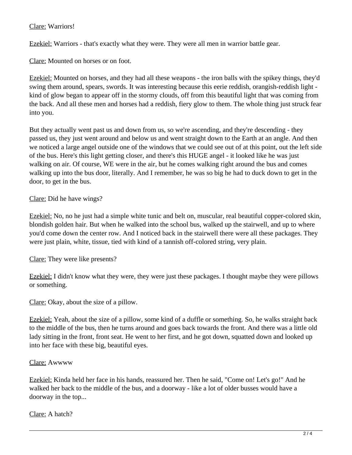## Clare: Warriors!

Ezekiel: Warriors - that's exactly what they were. They were all men in warrior battle gear.

Clare: Mounted on horses or on foot.

Ezekiel: Mounted on horses, and they had all these weapons - the iron balls with the spikey things, they'd swing them around, spears, swords. It was interesting because this eerie reddish, orangish-reddish light kind of glow began to appear off in the stormy clouds, off from this beautiful light that was coming from the back. And all these men and horses had a reddish, fiery glow to them. The whole thing just struck fear into you.

But they actually went past us and down from us, so we're ascending, and they're descending - they passed us, they just went around and below us and went straight down to the Earth at an angle. And then we noticed a large angel outside one of the windows that we could see out of at this point, out the left side of the bus. Here's this light getting closer, and there's this HUGE angel - it looked like he was just walking on air. Of course, WE were in the air, but he comes walking right around the bus and comes walking up into the bus door, literally. And I remember, he was so big he had to duck down to get in the door, to get in the bus.

Clare: Did he have wings?

Ezekiel: No, no he just had a simple white tunic and belt on, muscular, real beautiful copper-colored skin, blondish golden hair. But when he walked into the school bus, walked up the stairwell, and up to where you'd come down the center row. And I noticed back in the stairwell there were all these packages. They were just plain, white, tissue, tied with kind of a tannish off-colored string, very plain.

Clare: They were like presents?

Ezekiel: I didn't know what they were, they were just these packages. I thought maybe they were pillows or something.

Clare: Okay, about the size of a pillow.

Ezekiel: Yeah, about the size of a pillow, some kind of a duffle or something. So, he walks straight back to the middle of the bus, then he turns around and goes back towards the front. And there was a little old lady sitting in the front, front seat. He went to her first, and he got down, squatted down and looked up into her face with these big, beautiful eyes.

## Clare: Awwww

Ezekiel: Kinda held her face in his hands, reassured her. Then he said, "Come on! Let's go!" And he walked her back to the middle of the bus, and a doorway - like a lot of older busses would have a doorway in the top...

Clare: A hatch?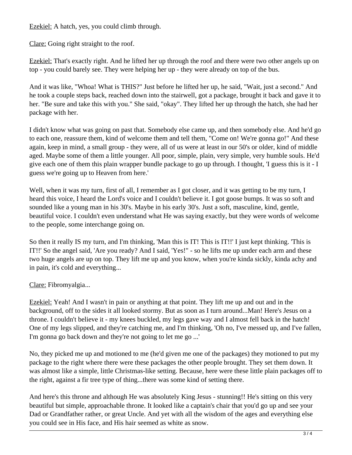Ezekiel: A hatch, yes, you could climb through.

Clare: Going right straight to the roof.

Ezekiel: That's exactly right. And he lifted her up through the roof and there were two other angels up on top - you could barely see. They were helping her up - they were already on top of the bus.

And it was like, "Whoa! What is THIS?" Just before he lifted her up, he said, "Wait, just a second." And he took a couple steps back, reached down into the stairwell, got a package, brought it back and gave it to her. "Be sure and take this with you." She said, "okay". They lifted her up through the hatch, she had her package with her.

I didn't know what was going on past that. Somebody else came up, and then somebody else. And he'd go to each one, reassure them, kind of welcome them and tell them, "Come on! We're gonna go!" And these again, keep in mind, a small group - they were, all of us were at least in our 50's or older, kind of middle aged. Maybe some of them a little younger. All poor, simple, plain, very simple, very humble souls. He'd give each one of them this plain wrapper bundle package to go up through. I thought, 'I guess this is it - I guess we're going up to Heaven from here.'

Well, when it was my turn, first of all, I remember as I got closer, and it was getting to be my turn, I heard this voice, I heard the Lord's voice and I couldn't believe it. I got goose bumps. It was so soft and sounded like a young man in his 30's. Maybe in his early 30's. Just a soft, masculine, kind, gentle, beautiful voice. I couldn't even understand what He was saying exactly, but they were words of welcome to the people, some interchange going on.

So then it really IS my turn, and I'm thinking, 'Man this is IT! This is IT!!' I just kept thinking. 'This is IT!!' So the angel said, 'Are you ready? And I said, 'Yes!" - so he lifts me up under each arm and these two huge angels are up on top. They lift me up and you know, when you're kinda sickly, kinda achy and in pain, it's cold and everything...

Clare: Fibromyalgia...

Ezekiel: Yeah! And I wasn't in pain or anything at that point. They lift me up and out and in the background, off to the sides it all looked stormy. But as soon as I turn around...Man! Here's Jesus on a throne. I couldn't believe it - my knees buckled, my legs gave way and I almost fell back in the hatch! One of my legs slipped, and they're catching me, and I'm thinking, 'Oh no, I've messed up, and I've fallen, I'm gonna go back down and they're not going to let me go ...'

No, they picked me up and motioned to me (he'd given me one of the packages) they motioned to put my package to the right where there were these packages the other people brought. They set them down. It was almost like a simple, little Christmas-like setting. Because, here were these little plain packages off to the right, against a fir tree type of thing...there was some kind of setting there.

And here's this throne and although He was absolutely King Jesus - stunning!! He's sitting on this very beautiful but simple, approachable throne. It looked like a captain's chair that you'd go up and see your Dad or Grandfather rather, or great Uncle. And yet with all the wisdom of the ages and everything else you could see in His face, and His hair seemed as white as snow.